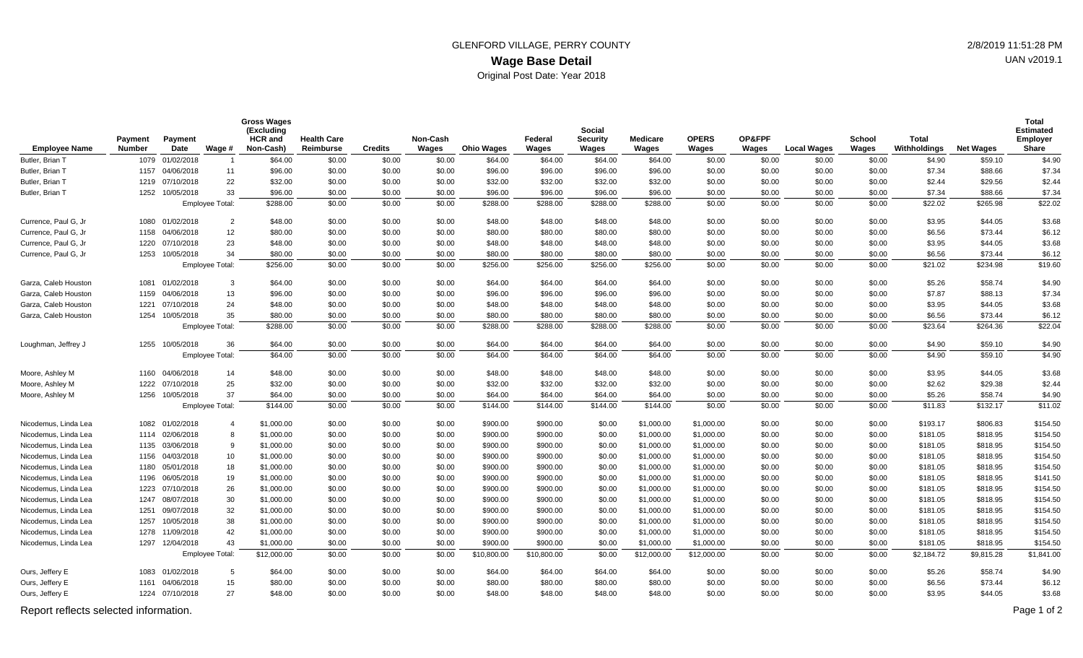## **Wage Base Detail** GLENFORD VILLAGE, PERRY COUNTY 2/8/2019 11:51:28 PM Original Post Date: Year 2018

| <b>Employee Name</b> | <b>Payment</b><br><b>Number</b> | Payment<br>Date | Wage #                 | <b>Gross Wages</b><br>(Excluding<br><b>HCR</b> and<br>Non-Cash) | <b>Health Care</b><br>Reimburse | <b>Credits</b> | Non-Cash<br>Wages | <b>Ohio Wages</b> | Federal<br>Wages | Social<br><b>Security</b><br>Wages | <b>Medicare</b><br>Wages | <b>OPERS</b><br>Wages | OP&FPF<br>Wages | <b>Local Wages</b> | <b>School</b><br>Wages | <b>Total</b><br>Withholdings | <b>Net Wages</b> | Total<br><b>Estimated</b><br><b>Employer</b><br>Share |
|----------------------|---------------------------------|-----------------|------------------------|-----------------------------------------------------------------|---------------------------------|----------------|-------------------|-------------------|------------------|------------------------------------|--------------------------|-----------------------|-----------------|--------------------|------------------------|------------------------------|------------------|-------------------------------------------------------|
| Butler, Brian T      |                                 | 1079 01/02/2018 | $\overline{1}$         | \$64.00                                                         | \$0.00                          | \$0.00         | \$0.00            | \$64.00           | \$64.00          | \$64.00                            | \$64.00                  | \$0.00                | \$0.00          | \$0.00             | \$0.00                 | \$4.90                       | \$59.10          | \$4.90                                                |
| Butler, Brian T      |                                 | 1157 04/06/2018 | 11                     | \$96.00                                                         | \$0.00                          | \$0.00         | \$0.00            | \$96.00           | \$96.00          | \$96.00                            | \$96.00                  | \$0.00                | \$0.00          | \$0.00             | \$0.00                 | \$7.34                       | \$88.66          | \$7.34                                                |
| Butler, Brian T      |                                 | 1219 07/10/2018 | 22                     | \$32.00                                                         | \$0.00                          | \$0.00         | \$0.00            | \$32.00           | \$32.00          | \$32.00                            | \$32.00                  | \$0.00                | \$0.00          | \$0.00             | \$0.00                 | \$2.44                       | \$29.56          | \$2.44                                                |
| Butler, Brian T      |                                 | 1252 10/05/2018 | 33                     | \$96.00                                                         | \$0.00                          | \$0.00         | \$0.00            | \$96.00           | \$96.00          | \$96.00                            | \$96.00                  | \$0.00                | \$0.00          | \$0.00             | \$0.00                 | \$7.34                       | \$88.66          | \$7.34                                                |
|                      |                                 |                 | Employee Total:        | \$288.00                                                        | \$0.00                          | \$0.00         | \$0.00            | \$288.00          | \$288.00         | \$288.00                           | \$288.00                 | \$0.00                | \$0.00          | \$0.00             | \$0.00                 | \$22.02                      | \$265.98         | \$22.02                                               |
| Currence, Paul G, Jr |                                 | 1080 01/02/2018 | $\overline{2}$         | \$48.00                                                         | \$0.00                          | \$0.00         | \$0.00            | \$48.00           | \$48.00          | \$48.00                            | \$48.00                  | \$0.00                | \$0.00          | \$0.00             | \$0.00                 | \$3.95                       | \$44.05          | \$3.68                                                |
| Currence, Paul G, Jr |                                 | 1158 04/06/2018 | 12                     | \$80.00                                                         | \$0.00                          | \$0.00         | \$0.00            | \$80.00           | \$80.00          | \$80.00                            | \$80.00                  | \$0.00                | \$0.00          | \$0.00             | \$0.00                 | \$6.56                       | \$73.44          | \$6.12                                                |
| Currence, Paul G, Jr |                                 | 1220 07/10/2018 | 23                     | \$48.00                                                         | \$0.00                          | \$0.00         | \$0.00            | \$48.00           | \$48.00          | \$48.00                            | \$48.00                  | \$0.00                | \$0.00          | \$0.00             | \$0.00                 | \$3.95                       | \$44.05          | \$3.68                                                |
| Currence. Paul G. Jr |                                 | 1253 10/05/2018 | 34                     | \$80.00                                                         | \$0.00                          | \$0.00         | \$0.00            | \$80.00           | \$80.00          | \$80.00                            | \$80.00                  | \$0.00                | \$0.00          | \$0.00             | \$0.00                 | \$6.56                       | \$73.44          | \$6.12                                                |
|                      |                                 |                 | Employee Total:        | \$256.00                                                        | \$0.00                          | \$0.00         | \$0.00            | \$256.00          | \$256.00         | \$256.00                           | \$256.00                 | \$0.00                | \$0.00          | \$0.00             | \$0.00                 | \$21.02                      | \$234.98         | \$19.60                                               |
| Garza, Caleb Houston |                                 | 1081 01/02/2018 | 3                      | \$64.00                                                         | \$0.00                          | \$0.00         | \$0.00            | \$64.00           | \$64.00          | \$64.00                            | \$64.00                  | \$0.00                | \$0.00          | \$0.00             | \$0.00                 | \$5.26                       | \$58.74          | \$4.90                                                |
| Garza, Caleb Houston |                                 | 1159 04/06/2018 | 13                     | \$96.00                                                         | \$0.00                          | \$0.00         | \$0.00            | \$96.00           | \$96.00          | \$96.00                            | \$96.00                  | \$0.00                | \$0.00          | \$0.00             | \$0.00                 | \$7.87                       | \$88.13          | \$7.34                                                |
| Garza, Caleb Houston | 1221                            | 07/10/2018      | 24                     | \$48.00                                                         | \$0.00                          | \$0.00         | \$0.00            | \$48.00           | \$48.00          | \$48.00                            | \$48.00                  | \$0.00                | \$0.00          | \$0.00             | \$0.00                 | \$3.95                       | \$44.05          | \$3.68                                                |
| Garza, Caleb Houston |                                 | 1254 10/05/2018 | 35                     | \$80.00                                                         | \$0.00                          | \$0.00         | \$0.00            | \$80.00           | \$80.00          | \$80.00                            | \$80.00                  | \$0.00                | \$0.00          | \$0.00             | \$0.00                 | \$6.56                       | \$73.44          | \$6.12                                                |
|                      |                                 |                 | <b>Employee Total:</b> | \$288.00                                                        | \$0.00                          | \$0.00         | \$0.00            | \$288.00          | \$288.00         | \$288.00                           | \$288.00                 | \$0.00                | \$0.00          | \$0.00             | \$0.00                 | \$23.64                      | \$264.36         | \$22.04                                               |
| Loughman, Jeffrey J  |                                 | 1255 10/05/2018 | 36                     | \$64.00                                                         | \$0.00                          | \$0.00         | \$0.00            | \$64.00           | \$64.00          | \$64.00                            | \$64.00                  | \$0.00                | \$0.00          | \$0.00             | \$0.00                 | \$4.90                       | \$59.10          | \$4.90                                                |
|                      |                                 |                 | <b>Employee Total:</b> | \$64.00                                                         | \$0.00                          | \$0.00         | \$0.00            | \$64.00           | \$64.00          | \$64.00                            | \$64.00                  | \$0.00                | \$0.00          | \$0.00             | \$0.00                 | \$4.90                       | \$59.10          | \$4.90                                                |
| Moore, Ashley M      |                                 | 1160 04/06/2018 | 14                     | \$48.00                                                         | \$0.00                          | \$0.00         | \$0.00            | \$48.00           | \$48.00          | \$48.00                            | \$48.00                  | \$0.00                | \$0.00          | \$0.00             | \$0.00                 | \$3.95                       | \$44.05          | \$3.68                                                |
| Moore, Ashley M      |                                 | 1222 07/10/2018 | 25                     | \$32.00                                                         | \$0.00                          | \$0.00         | \$0.00            | \$32.00           | \$32.00          | \$32.00                            | \$32.00                  | \$0.00                | \$0.00          | \$0.00             | \$0.00                 | \$2.62                       | \$29.38          | \$2.44                                                |
| Moore, Ashley M      |                                 | 1256 10/05/2018 | 37                     | \$64.00                                                         | \$0.00                          | \$0.00         | \$0.00            | \$64.00           | \$64.00          | \$64.00                            | \$64.00                  | \$0.00                | \$0.00          | \$0.00             | \$0.00                 | \$5.26                       | \$58.74          | \$4.90                                                |
|                      |                                 |                 | Employee Total:        | \$144.00                                                        | \$0.00                          | \$0.00         | \$0.00            | \$144.00          | \$144.00         | \$144.00                           | \$144.00                 | \$0.00                | \$0.00          | \$0.00             | \$0.00                 | \$11.83                      | \$132.17         | \$11.02                                               |
| Nicodemus, Linda Lea |                                 | 1082 01/02/2018 | $\overline{4}$         | \$1,000.00                                                      | \$0.00                          | \$0.00         | \$0.00            | \$900.00          | \$900.00         | \$0.00                             | \$1,000.00               | \$1,000.00            | \$0.00          | \$0.00             | \$0.00                 | \$193.17                     | \$806.83         | \$154.50                                              |
| Nicodemus, Linda Lea |                                 | 1114 02/06/2018 | 8                      | \$1,000.00                                                      | \$0.00                          | \$0.00         | \$0.00            | \$900.00          | \$900.00         | \$0.00                             | \$1,000.00               | \$1,000.00            | \$0.00          | \$0.00             | \$0.00                 | \$181.05                     | \$818.95         | \$154.50                                              |
| Nicodemus, Linda Lea |                                 | 1135 03/06/2018 | 9                      | \$1,000.00                                                      | \$0.00                          | \$0.00         | \$0.00            | \$900.00          | \$900.00         | \$0.00                             | \$1,000.00               | \$1,000.00            | \$0.00          | \$0.00             | \$0.00                 | \$181.05                     | \$818.95         | \$154.50                                              |
| Nicodemus, Linda Lea |                                 | 1156 04/03/2018 | 10                     | \$1,000.00                                                      | \$0.00                          | \$0.00         | \$0.00            | \$900.00          | \$900.00         | \$0.00                             | \$1,000.00               | \$1,000.00            | \$0.00          | \$0.00             | \$0.00                 | \$181.05                     | \$818.95         | \$154.50                                              |
| Nicodemus. Linda Lea |                                 | 1180 05/01/2018 | 18                     | \$1,000.00                                                      | \$0.00                          | \$0.00         | \$0.00            | \$900.00          | \$900.00         | \$0.00                             | \$1,000.00               | \$1,000.00            | \$0.00          | \$0.00             | \$0.00                 | \$181.05                     | \$818.95         | \$154.50                                              |
| Nicodemus, Linda Lea |                                 | 1196 06/05/2018 | 19                     | \$1,000.00                                                      | \$0.00                          | \$0.00         | \$0.00            | \$900.00          | \$900.00         | \$0.00                             | \$1,000.00               | \$1,000.00            | \$0.00          | \$0.00             | \$0.00                 | \$181.05                     | \$818.95         | \$141.50                                              |
| Nicodemus, Linda Lea |                                 | 1223 07/10/2018 | 26                     | \$1,000.00                                                      | \$0.00                          | \$0.00         | \$0.00            | \$900.00          | \$900.00         | \$0.00                             | \$1,000.00               | \$1,000.00            | \$0.00          | \$0.00             | \$0.00                 | \$181.05                     | \$818.95         | \$154.50                                              |
| Nicodemus, Linda Lea |                                 | 1247 08/07/2018 | 30                     | \$1,000.00                                                      | \$0.00                          | \$0.00         | \$0.00            | \$900.00          | \$900.00         | \$0.00                             | \$1,000.00               | \$1,000.00            | \$0.00          | \$0.00             | \$0.00                 | \$181.05                     | \$818.95         | \$154.50                                              |
| Nicodemus, Linda Lea | 1251                            | 09/07/2018      | 32                     | \$1,000.00                                                      | \$0.00                          | \$0.00         | \$0.00            | \$900.00          | \$900.00         | \$0.00                             | \$1,000.00               | \$1,000.00            | \$0.00          | \$0.00             | \$0.00                 | \$181.05                     | \$818.95         | \$154.50                                              |
| Nicodemus, Linda Lea | 1257                            | 10/05/2018      | 38                     | \$1,000.00                                                      | \$0.00                          | \$0.00         | \$0.00            | \$900.00          | \$900.00         | \$0.00                             | \$1,000.00               | \$1,000.00            | \$0.00          | \$0.00             | \$0.00                 | \$181.05                     | \$818.95         | \$154.50                                              |
| Nicodemus, Linda Lea |                                 | 1278 11/09/2018 | 42                     | \$1,000.00                                                      | \$0.00                          | \$0.00         | \$0.00            | \$900.00          | \$900.00         | \$0.00                             | \$1,000.00               | \$1,000.00            | \$0.00          | \$0.00             | \$0.00                 | \$181.05                     | \$818.95         | \$154.50                                              |
| Nicodemus, Linda Lea |                                 | 1297 12/04/2018 | 43                     | \$1,000.00                                                      | \$0.00                          | \$0.00         | \$0.00            | \$900.00          | \$900.00         | \$0.00                             | \$1,000.00               | \$1,000.00            | \$0.00          | \$0.00             | \$0.00                 | \$181.05                     | \$818.95         | \$154.50                                              |
|                      |                                 |                 | <b>Employee Total:</b> | \$12,000.00                                                     | \$0.00                          | \$0.00         | \$0.00            | \$10,800.00       | \$10,800.00      | \$0.00                             | \$12,000.00              | \$12,000.00           | \$0.00          | \$0.00             | \$0.00                 | \$2,184.72                   | \$9,815.28       | \$1,841.00                                            |
| Ours, Jeffery E      |                                 | 1083 01/02/2018 | 5                      | \$64.00                                                         | \$0.00                          | \$0.00         | \$0.00            | \$64.00           | \$64.00          | \$64.00                            | \$64.00                  | \$0.00                | \$0.00          | \$0.00             | \$0.00                 | \$5.26                       | \$58.74          | \$4.90                                                |
| Ours, Jeffery E      |                                 | 1161 04/06/2018 | 15                     | \$80.00                                                         | \$0.00                          | \$0.00         | \$0.00            | \$80.00           | \$80.00          | \$80.00                            | \$80.00                  | \$0.00                | \$0.00          | \$0.00             | \$0.00                 | \$6.56                       | \$73.44          | \$6.12                                                |
| Ours, Jeffery E      |                                 | 1224 07/10/2018 | 27                     | \$48.00                                                         | \$0.00                          | \$0.00         | \$0.00            | \$48.00           | \$48.00          | \$48.00                            | \$48.00                  | \$0.00                | \$0.00          | \$0.00             | \$0.00                 | \$3.95                       | \$44.05          | \$3.68                                                |

Report reflects selected information. Page 1 of 2